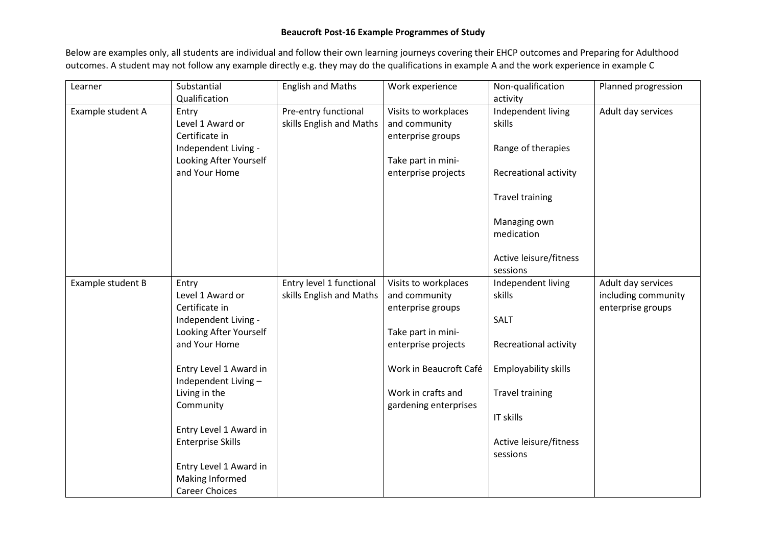## **Beaucroft Post-16 Example Programmes of Study**

Below are examples only, all students are individual and follow their own learning journeys covering their EHCP outcomes and Preparing for Adulthood outcomes. A student may not follow any example directly e.g. they may do the qualifications in example A and the work experience in example C

| Learner           | Substantial                                                                                                                           | <b>English and Maths</b> | Work experience        | Non-qualification                               | Planned progression |
|-------------------|---------------------------------------------------------------------------------------------------------------------------------------|--------------------------|------------------------|-------------------------------------------------|---------------------|
|                   | Qualification                                                                                                                         |                          |                        | activity                                        |                     |
| Example student A | Entry                                                                                                                                 | Pre-entry functional     | Visits to workplaces   | Independent living                              | Adult day services  |
|                   | Level 1 Award or                                                                                                                      | skills English and Maths | and community          | skills                                          |                     |
|                   | Certificate in                                                                                                                        |                          | enterprise groups      |                                                 |                     |
|                   | Independent Living -                                                                                                                  |                          |                        | Range of therapies                              |                     |
|                   | Looking After Yourself                                                                                                                |                          | Take part in mini-     |                                                 |                     |
|                   | and Your Home                                                                                                                         |                          | enterprise projects    | Recreational activity                           |                     |
|                   |                                                                                                                                       |                          |                        |                                                 |                     |
|                   |                                                                                                                                       |                          |                        | <b>Travel training</b>                          |                     |
|                   |                                                                                                                                       |                          |                        |                                                 |                     |
|                   |                                                                                                                                       |                          |                        | Managing own                                    |                     |
|                   |                                                                                                                                       |                          |                        | medication                                      |                     |
|                   |                                                                                                                                       |                          |                        |                                                 |                     |
|                   |                                                                                                                                       |                          |                        | Active leisure/fitness                          |                     |
|                   |                                                                                                                                       |                          |                        | sessions                                        |                     |
| Example student B | Entry                                                                                                                                 | Entry level 1 functional | Visits to workplaces   | Independent living                              | Adult day services  |
|                   | Level 1 Award or                                                                                                                      | skills English and Maths | and community          | skills                                          | including community |
|                   | Certificate in                                                                                                                        |                          | enterprise groups      |                                                 | enterprise groups   |
|                   | Independent Living -                                                                                                                  |                          |                        | SALT                                            |                     |
|                   | Looking After Yourself                                                                                                                |                          | Take part in mini-     |                                                 |                     |
|                   | and Your Home                                                                                                                         |                          | enterprise projects    | Recreational activity                           |                     |
|                   | Entry Level 1 Award in                                                                                                                |                          | Work in Beaucroft Café | Employability skills                            |                     |
|                   | Independent Living-                                                                                                                   |                          |                        |                                                 |                     |
|                   | Living in the                                                                                                                         |                          | Work in crafts and     | <b>Travel training</b>                          |                     |
|                   |                                                                                                                                       |                          |                        |                                                 |                     |
|                   |                                                                                                                                       |                          |                        |                                                 |                     |
|                   |                                                                                                                                       |                          |                        |                                                 |                     |
|                   |                                                                                                                                       |                          |                        |                                                 |                     |
|                   |                                                                                                                                       |                          |                        |                                                 |                     |
|                   |                                                                                                                                       |                          |                        |                                                 |                     |
|                   |                                                                                                                                       |                          |                        |                                                 |                     |
|                   |                                                                                                                                       |                          |                        |                                                 |                     |
|                   | Community<br>Entry Level 1 Award in<br><b>Enterprise Skills</b><br>Entry Level 1 Award in<br>Making Informed<br><b>Career Choices</b> |                          | gardening enterprises  | IT skills<br>Active leisure/fitness<br>sessions |                     |